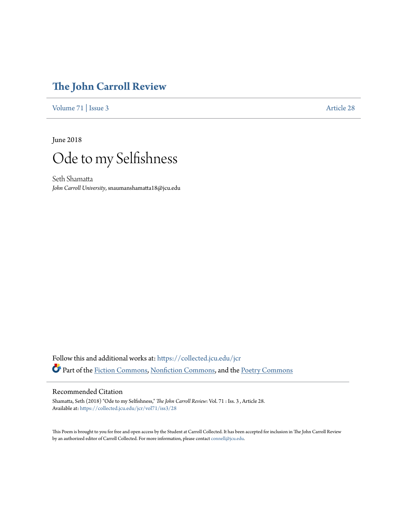## **[The John Carroll Review](https://collected.jcu.edu/jcr?utm_source=collected.jcu.edu%2Fjcr%2Fvol71%2Fiss3%2F28&utm_medium=PDF&utm_campaign=PDFCoverPages)**

[Volume 71](https://collected.jcu.edu/jcr/vol71?utm_source=collected.jcu.edu%2Fjcr%2Fvol71%2Fiss3%2F28&utm_medium=PDF&utm_campaign=PDFCoverPages) | [Issue 3](https://collected.jcu.edu/jcr/vol71/iss3?utm_source=collected.jcu.edu%2Fjcr%2Fvol71%2Fiss3%2F28&utm_medium=PDF&utm_campaign=PDFCoverPages) [Article 28](https://collected.jcu.edu/jcr/vol71/iss3/28?utm_source=collected.jcu.edu%2Fjcr%2Fvol71%2Fiss3%2F28&utm_medium=PDF&utm_campaign=PDFCoverPages)

June 2018



Seth Shamatta *John Carroll University*, snaumanshamatta18@jcu.edu

Follow this and additional works at: [https://collected.jcu.edu/jcr](https://collected.jcu.edu/jcr?utm_source=collected.jcu.edu%2Fjcr%2Fvol71%2Fiss3%2F28&utm_medium=PDF&utm_campaign=PDFCoverPages) Part of the [Fiction Commons](http://network.bepress.com/hgg/discipline/1151?utm_source=collected.jcu.edu%2Fjcr%2Fvol71%2Fiss3%2F28&utm_medium=PDF&utm_campaign=PDFCoverPages), [Nonfiction Commons](http://network.bepress.com/hgg/discipline/1152?utm_source=collected.jcu.edu%2Fjcr%2Fvol71%2Fiss3%2F28&utm_medium=PDF&utm_campaign=PDFCoverPages), and the [Poetry Commons](http://network.bepress.com/hgg/discipline/1153?utm_source=collected.jcu.edu%2Fjcr%2Fvol71%2Fiss3%2F28&utm_medium=PDF&utm_campaign=PDFCoverPages)

## Recommended Citation

Shamatta, Seth (2018) "Ode to my Selfishness," *The John Carroll Review*: Vol. 71 : Iss. 3 , Article 28. Available at: [https://collected.jcu.edu/jcr/vol71/iss3/28](https://collected.jcu.edu/jcr/vol71/iss3/28?utm_source=collected.jcu.edu%2Fjcr%2Fvol71%2Fiss3%2F28&utm_medium=PDF&utm_campaign=PDFCoverPages)

This Poem is brought to you for free and open access by the Student at Carroll Collected. It has been accepted for inclusion in The John Carroll Review by an authorized editor of Carroll Collected. For more information, please contact [connell@jcu.edu](mailto:connell@jcu.edu).